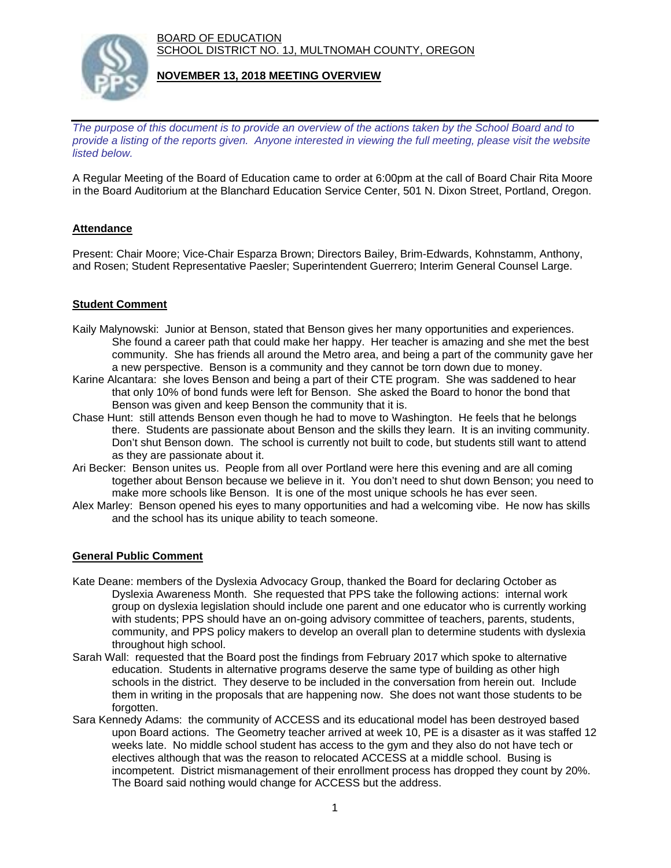BOARD OF EDUCATION SCHOOL DISTRICT NO. 1J, MULTNOMAH COUNTY, OREGON



## **NOVEMBER 13, 2018 MEETING OVERVIEW**

*The purpose of this document is to provide an overview of the actions taken by the School Board and to provide a listing of the reports given. Anyone interested in viewing the full meeting, please visit the website listed below.*

A Regular Meeting of the Board of Education came to order at 6:00pm at the call of Board Chair Rita Moore in the Board Auditorium at the Blanchard Education Service Center, 501 N. Dixon Street, Portland, Oregon.

# **Attendance**

Present: Chair Moore; Vice-Chair Esparza Brown; Directors Bailey, Brim-Edwards, Kohnstamm, Anthony, and Rosen; Student Representative Paesler; Superintendent Guerrero; Interim General Counsel Large.

## **Student Comment**

- Kaily Malynowski: Junior at Benson, stated that Benson gives her many opportunities and experiences. She found a career path that could make her happy. Her teacher is amazing and she met the best community. She has friends all around the Metro area, and being a part of the community gave her a new perspective. Benson is a community and they cannot be torn down due to money.
- Karine Alcantara: she loves Benson and being a part of their CTE program. She was saddened to hear that only 10% of bond funds were left for Benson. She asked the Board to honor the bond that Benson was given and keep Benson the community that it is.
- Chase Hunt: still attends Benson even though he had to move to Washington. He feels that he belongs there. Students are passionate about Benson and the skills they learn. It is an inviting community. Don't shut Benson down. The school is currently not built to code, but students still want to attend as they are passionate about it.
- Ari Becker: Benson unites us. People from all over Portland were here this evening and are all coming together about Benson because we believe in it. You don't need to shut down Benson; you need to make more schools like Benson. It is one of the most unique schools he has ever seen.
- Alex Marley: Benson opened his eyes to many opportunities and had a welcoming vibe. He now has skills and the school has its unique ability to teach someone.

#### **General Public Comment**

- Kate Deane: members of the Dyslexia Advocacy Group, thanked the Board for declaring October as Dyslexia Awareness Month. She requested that PPS take the following actions: internal work group on dyslexia legislation should include one parent and one educator who is currently working with students; PPS should have an on-going advisory committee of teachers, parents, students, community, and PPS policy makers to develop an overall plan to determine students with dyslexia throughout high school.
- Sarah Wall: requested that the Board post the findings from February 2017 which spoke to alternative education. Students in alternative programs deserve the same type of building as other high schools in the district. They deserve to be included in the conversation from herein out. Include them in writing in the proposals that are happening now. She does not want those students to be forgotten.
- Sara Kennedy Adams: the community of ACCESS and its educational model has been destroyed based upon Board actions. The Geometry teacher arrived at week 10, PE is a disaster as it was staffed 12 weeks late. No middle school student has access to the gym and they also do not have tech or electives although that was the reason to relocated ACCESS at a middle school. Busing is incompetent. District mismanagement of their enrollment process has dropped they count by 20%. The Board said nothing would change for ACCESS but the address.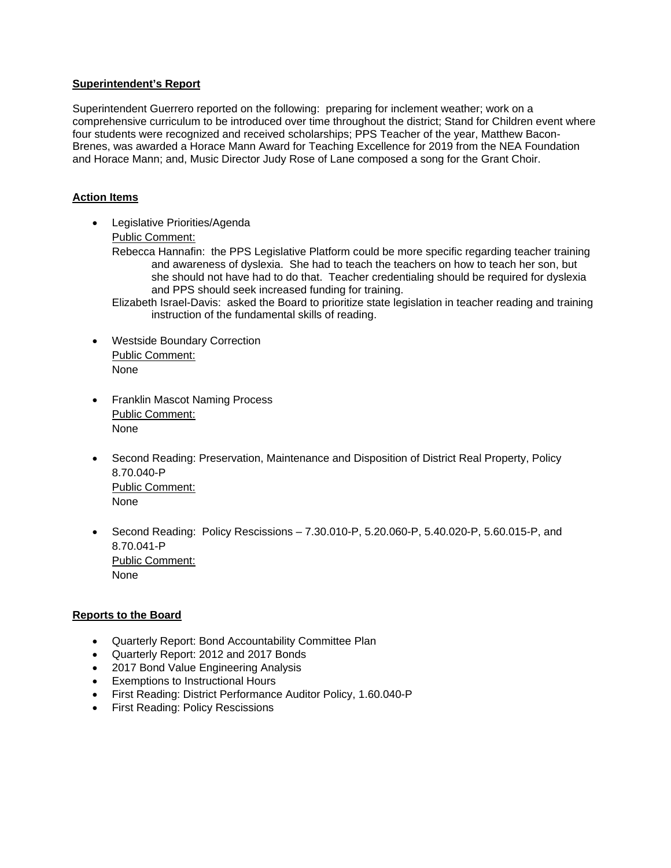#### **Superintendent's Report**

Superintendent Guerrero reported on the following: preparing for inclement weather; work on a comprehensive curriculum to be introduced over time throughout the district; Stand for Children event where four students were recognized and received scholarships; PPS Teacher of the year, Matthew Bacon-Brenes, was awarded a Horace Mann Award for Teaching Excellence for 2019 from the NEA Foundation and Horace Mann; and, Music Director Judy Rose of Lane composed a song for the Grant Choir.

## **Action Items**

- Legislative Priorities/Agenda Public Comment:
	- Rebecca Hannafin: the PPS Legislative Platform could be more specific regarding teacher training and awareness of dyslexia. She had to teach the teachers on how to teach her son, but she should not have had to do that. Teacher credentialing should be required for dyslexia and PPS should seek increased funding for training.
	- Elizabeth Israel-Davis: asked the Board to prioritize state legislation in teacher reading and training instruction of the fundamental skills of reading.
- Westside Boundary Correction Public Comment: None
- Franklin Mascot Naming Process Public Comment: None
- Second Reading: Preservation, Maintenance and Disposition of District Real Property, Policy 8.70.040-P Public Comment: None
- Second Reading: Policy Rescissions 7.30.010-P, 5.20.060-P, 5.40.020-P, 5.60.015-P, and 8.70.041-P Public Comment: None

#### **Reports to the Board**

- Quarterly Report: Bond Accountability Committee Plan
- Quarterly Report: 2012 and 2017 Bonds
- 2017 Bond Value Engineering Analysis
- Exemptions to Instructional Hours
- First Reading: District Performance Auditor Policy, 1.60.040-P
- **•** First Reading: Policy Rescissions